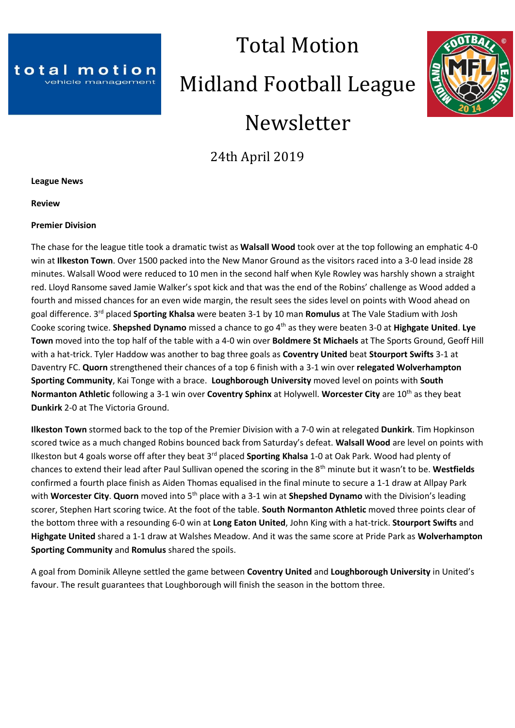

# Total Motion Midland Football League Newsletter



24th April 2019

**League News**

**Review**

#### **Premier Division**

The chase for the league title took a dramatic twist as **Walsall Wood** took over at the top following an emphatic 4-0 win at **Ilkeston Town**. Over 1500 packed into the New Manor Ground as the visitors raced into a 3-0 lead inside 28 minutes. Walsall Wood were reduced to 10 men in the second half when Kyle Rowley was harshly shown a straight red. Lloyd Ransome saved Jamie Walker's spot kick and that was the end of the Robins' challenge as Wood added a fourth and missed chances for an even wide margin, the result sees the sides level on points with Wood ahead on goal difference. 3 rd placed **Sporting Khalsa** were beaten 3-1 by 10 man **Romulus** at The Vale Stadium with Josh Cooke scoring twice. **Shepshed Dynamo** missed a chance to go 4<sup>th</sup> as they were beaten 3-0 at **Highgate United. Lye Town** moved into the top half of the table with a 4-0 win over **Boldmere St Michaels** at The Sports Ground, Geoff Hill with a hat-trick. Tyler Haddow was another to bag three goals as **Coventry United** beat **Stourport Swifts** 3-1 at Daventry FC. **Quorn** strengthened their chances of a top 6 finish with a 3-1 win over **relegated Wolverhampton Sporting Community**, Kai Tonge with a brace. **Loughborough University** moved level on points with **South Normanton Athletic** following a 3-1 win over **Coventry Sphinx** at Holywell. Worcester City are 10<sup>th</sup> as they beat **Dunkirk** 2-0 at The Victoria Ground.

**Ilkeston Town** stormed back to the top of the Premier Division with a 7-0 win at relegated **Dunkirk**. Tim Hopkinson scored twice as a much changed Robins bounced back from Saturday's defeat. **Walsall Wood** are level on points with Ilkeston but 4 goals worse off after they beat 3rd placed **Sporting Khalsa** 1-0 at Oak Park. Wood had plenty of chances to extend their lead after Paul Sullivan opened the scoring in the 8th minute but it wasn't to be. **Westfields** confirmed a fourth place finish as Aiden Thomas equalised in the final minute to secure a 1-1 draw at Allpay Park with **Worcester City. Quorn** moved into 5<sup>th</sup> place with a 3-1 win at **Shepshed Dynamo** with the Division's leading scorer, Stephen Hart scoring twice. At the foot of the table. **South Normanton Athletic** moved three points clear of the bottom three with a resounding 6-0 win at **Long Eaton United**, John King with a hat-trick. **Stourport Swifts** and **Highgate United** shared a 1-1 draw at Walshes Meadow. And it was the same score at Pride Park as **Wolverhampton Sporting Community** and **Romulus** shared the spoils.

A goal from Dominik Alleyne settled the game between **Coventry United** and **Loughborough University** in United's favour. The result guarantees that Loughborough will finish the season in the bottom three.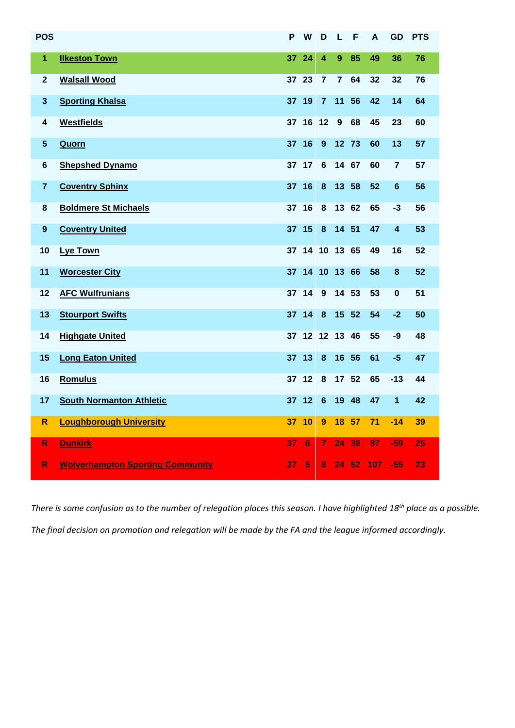| <b>POS</b>              |                                         | P     | W              | D                | L              | F     | A   | <b>GD</b>      | <b>PTS</b> |
|-------------------------|-----------------------------------------|-------|----------------|------------------|----------------|-------|-----|----------------|------------|
| $\overline{1}$          | <b>Ilkeston Town</b>                    | 37    | 24             | 4                | 9              | 85    | 49  | 36             | 76         |
| $\mathbf{2}$            | <b>Walsall Wood</b>                     | 37 23 |                | $\overline{7}$   | $\overline{7}$ | 64    | 32  | 32             | 76         |
| $\mathbf{3}$            | <b>Sporting Khalsa</b>                  | 37 19 |                | $\overline{7}$   | 11             | 56    | 42  | 14             | 64         |
| 4                       | <b>Westfields</b>                       |       | 37 16 12       |                  | 9              | 68    | 45  | 23             | 60         |
| $5\phantom{.0}$         | Quorn                                   | 37 16 |                | 9                |                | 12 73 | 60  | 13             | 57         |
| $6\phantom{a}$          | <b>Shepshed Dynamo</b>                  |       | 37 17          | 6                | 14 67          |       | 60  | $\overline{7}$ | 57         |
| $\overline{7}$          | <b>Coventry Sphinx</b>                  | 37 16 |                | 8                |                | 13 58 | 52  | $6\phantom{1}$ | 56         |
| 8                       | <b>Boldmere St Michaels</b>             | 37 16 |                | 8                |                | 13 62 | 65  | -3             | 56         |
| $\boldsymbol{9}$        | <b>Coventry United</b>                  | 37 15 |                | 8                | 14 51          |       | 47  | 4              | 53         |
| 10                      | Lye Town                                |       | 37 14 10 13 65 |                  |                |       | 49  | 16             | 52         |
| 11                      | <b>Worcester City</b>                   |       | 37 14 10 13 66 |                  |                |       | 58  | 8              | 52         |
| 12                      | <b>AFC Wulfrunians</b>                  |       | 37 14          | 9                |                | 14 53 | 53  | 0              | 51         |
| 13                      | <b>Stourport Swifts</b>                 |       | 37 14          | $\boldsymbol{8}$ |                | 15 52 | 54  | $-2$           | 50         |
| 14                      | <b>Highgate United</b>                  | 37    | 12             | 12 13            |                | 46    | 55  | -9             | 48         |
| 15                      | <b>Long Eaton United</b>                |       | 37 13          | $\boldsymbol{8}$ | 16             | 56    | 61  | $-5$           | 47         |
| 16                      | <b>Romulus</b>                          |       | 37 12          | 8                |                | 17 52 | 65  | $-13$          | 44         |
| 17                      | <b>South Normanton Athletic</b>         |       | 37 12          | 6                | 19             | 48    | 47  | 1              | 42         |
| $\overline{\mathsf{R}}$ | <b>Loughborough University</b>          | 37 10 |                | 9                |                | 18 57 | 71  | $-14$          | 39         |
| $\mathsf{R}$            | <b>Dunkirk</b>                          | 37    | 6              | $\overline{7}$   | 24             | 38    | 97  | -59            | 25         |
| R                       | <b>Wolverhampton Sporting Community</b> | 37    | 5              | 8                | 24             | 52    | 107 | $-55$          | 23         |

*There is some confusion as to the number of relegation places this season. I have highlighted 18th place as a possible. The final decision on promotion and relegation will be made by the FA and the league informed accordingly.*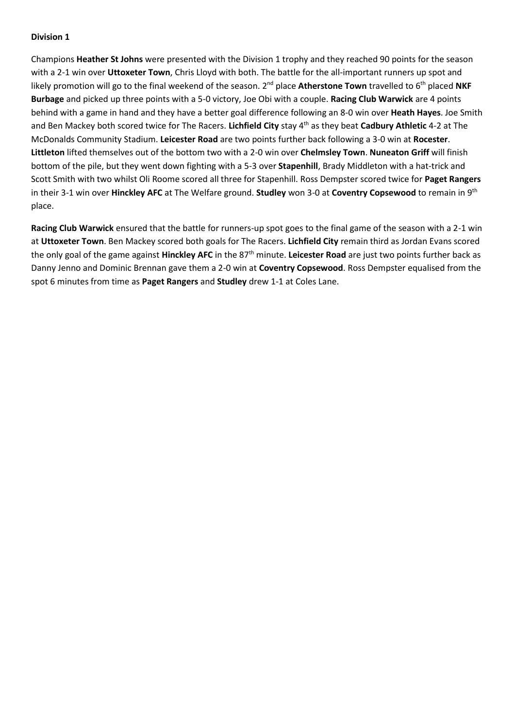Champions **Heather St Johns** were presented with the Division 1 trophy and they reached 90 points for the season with a 2-1 win over **Uttoxeter Town**, Chris Lloyd with both. The battle for the all-important runners up spot and likely promotion will go to the final weekend of the season. 2<sup>nd</sup> place **Atherstone Town** travelled to 6<sup>th</sup> placed NKF **Burbage** and picked up three points with a 5-0 victory, Joe Obi with a couple. **Racing Club Warwick** are 4 points behind with a game in hand and they have a better goal difference following an 8-0 win over **Heath Hayes**. Joe Smith and Ben Mackey both scored twice for The Racers. **Lichfield City** stay 4th as they beat **Cadbury Athletic** 4-2 at The McDonalds Community Stadium. **Leicester Road** are two points further back following a 3-0 win at **Rocester**. **Littleton** lifted themselves out of the bottom two with a 2-0 win over **Chelmsley Town**. **Nuneaton Griff** will finish bottom of the pile, but they went down fighting with a 5-3 over **Stapenhill**, Brady Middleton with a hat-trick and Scott Smith with two whilst Oli Roome scored all three for Stapenhill. Ross Dempster scored twice for **Paget Rangers** in their 3-1 win over **Hinckley AFC** at The Welfare ground. **Studley** won 3-0 at **Coventry Copsewood** to remain in 9th place.

**Racing Club Warwick** ensured that the battle for runners-up spot goes to the final game of the season with a 2-1 win at **Uttoxeter Town**. Ben Mackey scored both goals for The Racers. **Lichfield City** remain third as Jordan Evans scored the only goal of the game against **Hinckley AFC** in the 87th minute. **Leicester Road** are just two points further back as Danny Jenno and Dominic Brennan gave them a 2-0 win at **Coventry Copsewood**. Ross Dempster equalised from the spot 6 minutes from time as **Paget Rangers** and **Studley** drew 1-1 at Coles Lane.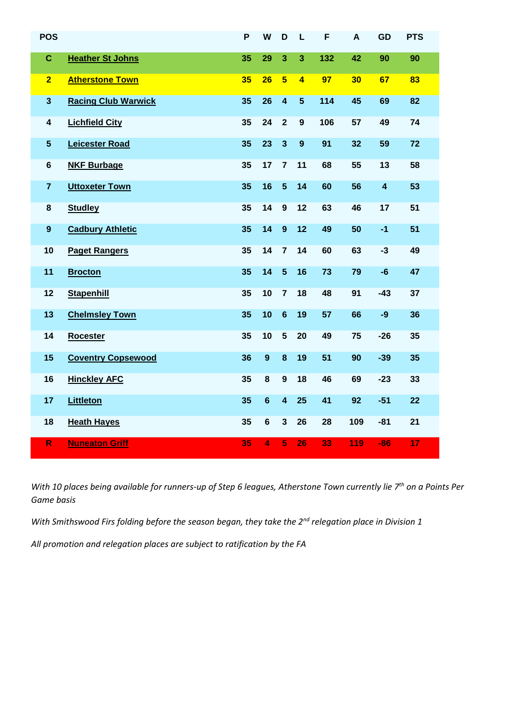| <b>POS</b>       |                            | P  | W              | D                       | L                       | F   | A   | GD                      | <b>PTS</b> |
|------------------|----------------------------|----|----------------|-------------------------|-------------------------|-----|-----|-------------------------|------------|
| $\mathbf{C}$     | <b>Heather St Johns</b>    | 35 | 29             | 3                       | 3                       | 132 | 42  | 90                      | 90         |
| $\overline{2}$   | <b>Atherstone Town</b>     | 35 | 26             | $5\overline{5}$         | $\overline{\mathbf{4}}$ | 97  | 30  | 67                      | 83         |
| $\mathbf{3}$     | <b>Racing Club Warwick</b> | 35 | 26             | $\overline{\mathbf{4}}$ | $5\phantom{1}$          | 114 | 45  | 69                      | 82         |
| 4                | <b>Lichfield City</b>      | 35 | 24             | $\overline{2}$          | $\mathbf{9}$            | 106 | 57  | 49                      | 74         |
| $5\phantom{.0}$  | <b>Leicester Road</b>      | 35 | 23             | $\mathbf{3}$            | $\boldsymbol{9}$        | 91  | 32  | 59                      | 72         |
| $6\phantom{1}$   | <b>NKF Burbage</b>         | 35 | 17             | $\overline{7}$          | 11                      | 68  | 55  | 13                      | 58         |
| $\overline{7}$   | <b>Uttoxeter Town</b>      | 35 | 16             | $5\phantom{1}$          | 14                      | 60  | 56  | $\overline{\mathbf{4}}$ | 53         |
| 8                | <b>Studley</b>             | 35 | 14             | 9                       | 12                      | 63  | 46  | 17                      | 51         |
| $\boldsymbol{9}$ | <b>Cadbury Athletic</b>    | 35 | 14             | 9                       | 12                      | 49  | 50  | $-1$                    | 51         |
| 10               | <b>Paget Rangers</b>       | 35 | 14             | $\overline{7}$          | 14                      | 60  | 63  | $-3$                    | 49         |
| 11               | <b>Brocton</b>             | 35 | 14             | $5\phantom{1}$          | 16                      | 73  | 79  | $-6$                    | 47         |
| 12               | <b>Stapenhill</b>          | 35 | 10             | $\overline{7}$          | 18                      | 48  | 91  | $-43$                   | 37         |
| 13               | <b>Chelmsley Town</b>      | 35 | 10             | $6\phantom{1}6$         | 19                      | 57  | 66  | $-9$                    | 36         |
| 14               | <b>Rocester</b>            | 35 | 10             | $5\phantom{1}$          | 20                      | 49  | 75  | $-26$                   | 35         |
| 15               | <b>Coventry Copsewood</b>  | 36 | $\mathbf{9}$   | 8                       | 19                      | 51  | 90  | $-39$                   | 35         |
| 16               | <b>Hinckley AFC</b>        | 35 | 8              | $\boldsymbol{9}$        | 18                      | 46  | 69  | $-23$                   | 33         |
| 17               | <b>Littleton</b>           | 35 | $6\phantom{1}$ | $\overline{\mathbf{4}}$ | 25                      | 41  | 92  | $-51$                   | 22         |
| 18               | <b>Heath Hayes</b>         | 35 | 6              | $\mathbf{3}$            | 26                      | 28  | 109 | $-81$                   | 21         |
| $\mathsf{R}$     | <b>Nuneaton Griff</b>      | 35 | $\overline{4}$ | 5                       | 26                      | 33  | 119 | $-86$                   | 17         |

*With 10 places being available for runners-up of Step 6 leagues, Atherstone Town currently lie 7th on a Points Per Game basis*

*With Smithswood Firs folding before the season began, they take the 2nd relegation place in Division 1*

*All promotion and relegation places are subject to ratification by the FA*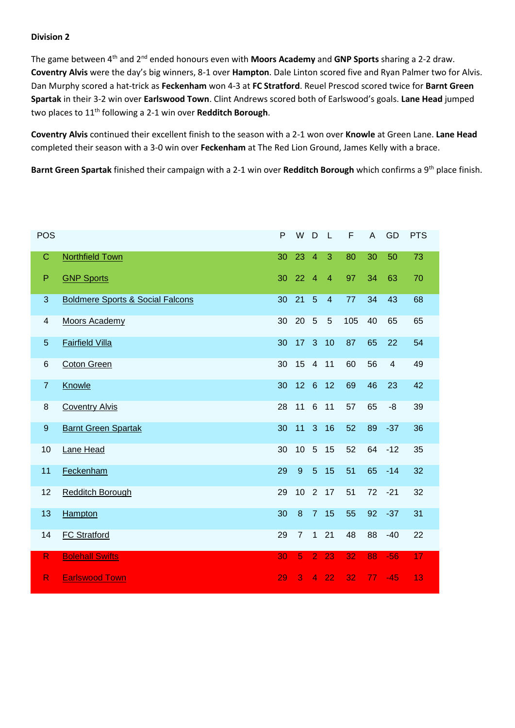The game between 4th and 2nd ended honours even with **Moors Academy** and **GNP Sports** sharing a 2-2 draw. **Coventry Alvis** were the day's big winners, 8-1 over **Hampton**. Dale Linton scored five and Ryan Palmer two for Alvis. Dan Murphy scored a hat-trick as **Feckenham** won 4-3 at **FC Stratford**. Reuel Prescod scored twice for **Barnt Green Spartak** in their 3-2 win over **Earlswood Town**. Clint Andrews scored both of Earlswood's goals. **Lane Head** jumped two places to 11th following a 2-1 win over **Redditch Borough**.

**Coventry Alvis** continued their excellent finish to the season with a 2-1 won over **Knowle** at Green Lane. **Lane Head** completed their season with a 3-0 win over **Feckenham** at The Red Lion Ground, James Kelly with a brace.

Barnt Green Spartak finished their campaign with a 2-1 win over Redditch Borough which confirms a 9<sup>th</sup> place finish.

| POS                      |                                             | P  | W                | D               | $\mathsf{L}$   | F   | $\overline{A}$ | GD                      | <b>PTS</b> |
|--------------------------|---------------------------------------------|----|------------------|-----------------|----------------|-----|----------------|-------------------------|------------|
| $\mathsf C$              | <b>Northfield Town</b>                      | 30 | 23               | $\overline{4}$  | 3              | 80  | 30             | 50                      | 73         |
| $\mathsf P$              | <b>GNP Sports</b>                           | 30 | 22               | $\overline{4}$  | $\overline{4}$ | 97  | 34             | 63                      | 70         |
| $\mathbf{3}$             | <b>Boldmere Sports &amp; Social Falcons</b> | 30 | 21               | 5               | $\overline{4}$ | 77  | 34             | 43                      | 68         |
| $\overline{\mathcal{A}}$ | <b>Moors Academy</b>                        | 30 | 20               | 5               | 5              | 105 | 40             | 65                      | 65         |
| $\overline{5}$           | <b>Fairfield Villa</b>                      | 30 | 17               | 3               | 10             | 87  | 65             | 22                      | 54         |
| 6                        | <b>Coton Green</b>                          | 30 | 15               | $\overline{4}$  | 11             | 60  | 56             | $\overline{\mathbf{4}}$ | 49         |
| $\overline{7}$           | Knowle                                      | 30 | 12               | $6\overline{6}$ | 12             | 69  | 46             | 23                      | 42         |
| $\,8\,$                  | <b>Coventry Alvis</b>                       | 28 | 11               | 6               | 11             | 57  | 65             | -8                      | 39         |
| $9\,$                    | <b>Barnt Green Spartak</b>                  | 30 | 11               | 3               | 16             | 52  | 89             | $-37$                   | 36         |
| 10                       | Lane Head                                   | 30 | 10               | 5               | 15             | 52  | 64             | $-12$                   | 35         |
| 11                       | Feckenham                                   | 29 | $\overline{9}$   | $5\phantom{.}$  | 15             | 51  | 65             | $-14$                   | 32         |
| 12                       | <b>Redditch Borough</b>                     | 29 | 10               |                 | $2 \quad 17$   | 51  | 72             | $-21$                   | 32         |
| 13                       | <b>Hampton</b>                              | 30 | $\boldsymbol{8}$ | $\overline{7}$  | 15             | 55  | 92             | $-37$                   | 31         |
| 14                       | <b>FC Stratford</b>                         | 29 | $\overline{7}$   | $\mathbf{1}$    | 21             | 48  | 88             | $-40$                   | 22         |
| $\mathsf R$              | <b>Bolehall Swifts</b>                      | 30 | 5                | $\overline{2}$  | 23             | 32  | 88             | $-56$                   | 17         |
| $\mathsf{R}$             | <b>Earlswood Town</b>                       | 29 | 3                | $\overline{4}$  | 22             | 32  | 77             | $-45$                   | 13         |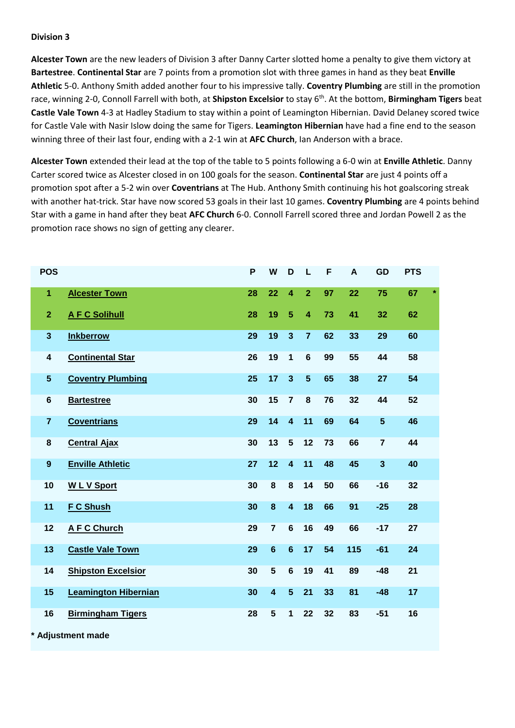**Alcester Town** are the new leaders of Division 3 after Danny Carter slotted home a penalty to give them victory at **Bartestree**. **Continental Star** are 7 points from a promotion slot with three games in hand as they beat **Enville Athletic** 5-0. Anthony Smith added another four to his impressive tally. **Coventry Plumbing** are still in the promotion race, winning 2-0, Connoll Farrell with both, at **Shipston Excelsior** to stay 6th. At the bottom, **Birmingham Tigers** beat **Castle Vale Town** 4-3 at Hadley Stadium to stay within a point of Leamington Hibernian. David Delaney scored twice for Castle Vale with Nasir Islow doing the same for Tigers. **Leamington Hibernian** have had a fine end to the season winning three of their last four, ending with a 2-1 win at **AFC Church**, Ian Anderson with a brace.

**Alcester Town** extended their lead at the top of the table to 5 points following a 6-0 win at **Enville Athletic**. Danny Carter scored twice as Alcester closed in on 100 goals for the season. **Continental Star** are just 4 points off a promotion spot after a 5-2 win over **Coventrians** at The Hub. Anthony Smith continuing his hot goalscoring streak with another hat-trick. Star have now scored 53 goals in their last 10 games. **Coventry Plumbing** are 4 points behind Star with a game in hand after they beat **AFC Church** 6-0. Connoll Farrell scored three and Jordan Powell 2 as the promotion race shows no sign of getting any clearer.

| <b>POS</b>              |                             | P  | W                       | D                       | L                       | F  | A   | GD                      | <b>PTS</b> |   |
|-------------------------|-----------------------------|----|-------------------------|-------------------------|-------------------------|----|-----|-------------------------|------------|---|
| $\blacktriangleleft$    | <b>Alcester Town</b>        | 28 | 22                      | $\overline{4}$          | $\overline{2}$          | 97 | 22  | 75                      | 67         | × |
| $\overline{2}$          | <b>AFC Solihull</b>         | 28 | 19                      | $5\phantom{.}$          | $\overline{\mathbf{4}}$ | 73 | 41  | 32                      | 62         |   |
| $\mathbf{3}$            | <b>Inkberrow</b>            | 29 | 19                      | $\overline{3}$          | $\overline{7}$          | 62 | 33  | 29                      | 60         |   |
| $\overline{\mathbf{4}}$ | <b>Continental Star</b>     | 26 | 19                      | $\mathbf{1}$            | $6\phantom{1}$          | 99 | 55  | 44                      | 58         |   |
| $5\phantom{.0}$         | <b>Coventry Plumbing</b>    | 25 | 17                      | $\overline{3}$          | 5                       | 65 | 38  | 27                      | 54         |   |
| $\bf 6$                 | <b>Bartestree</b>           | 30 | 15                      | $\overline{7}$          | 8                       | 76 | 32  | 44                      | 52         |   |
| $\overline{7}$          | <b>Coventrians</b>          | 29 | 14                      | $\overline{\mathbf{4}}$ | 11                      | 69 | 64  | $5\phantom{1}$          | 46         |   |
| 8                       | <b>Central Ajax</b>         | 30 | 13                      | $5\phantom{1}$          | 12                      | 73 | 66  | $\overline{7}$          | 44         |   |
| $\boldsymbol{9}$        | <b>Enville Athletic</b>     | 27 | 12                      | $\overline{\mathbf{4}}$ | 11                      | 48 | 45  | $\overline{\mathbf{3}}$ | 40         |   |
| 10                      | <b>WLV</b> Sport            | 30 | $\pmb{8}$               | 8                       | 14                      | 50 | 66  | $-16$                   | 32         |   |
| 11                      | <b>F C Shush</b>            | 30 | $\bf{8}$                | $\overline{\mathbf{4}}$ | 18                      | 66 | 91  | $-25$                   | 28         |   |
| 12                      | <b>AFC Church</b>           | 29 | $\overline{7}$          | $6\phantom{1}$          | 16                      | 49 | 66  | $-17$                   | 27         |   |
| 13                      | <b>Castle Vale Town</b>     | 29 | $6\phantom{1}6$         | $6\phantom{1}6$         | 17                      | 54 | 115 | $-61$                   | 24         |   |
| 14                      | <b>Shipston Excelsior</b>   | 30 | $5\phantom{1}$          | 6                       | 19                      | 41 | 89  | $-48$                   | 21         |   |
| 15                      | <b>Leamington Hibernian</b> | 30 | $\overline{\mathbf{4}}$ | $5\phantom{.0}$         | 21                      | 33 | 81  | $-48$                   | 17         |   |
| 16                      | <b>Birmingham Tigers</b>    | 28 | 5                       | 1                       | 22                      | 32 | 83  | $-51$                   | 16         |   |
|                         | * Adjustment made           |    |                         |                         |                         |    |     |                         |            |   |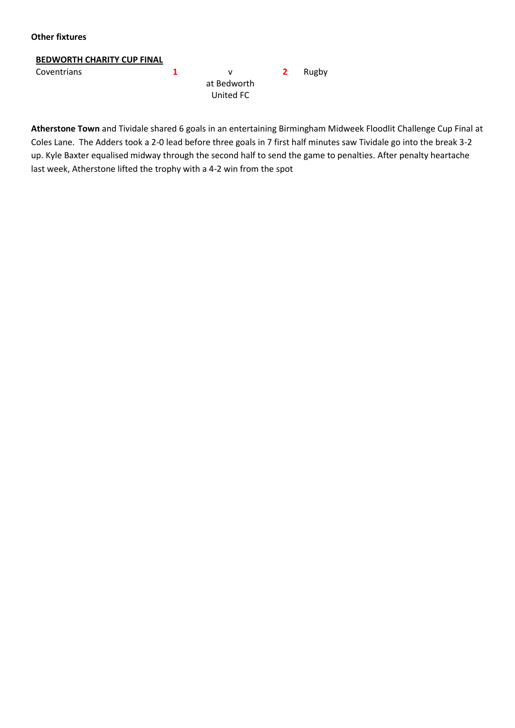#### **Other fixtures**

#### **BEDWORTH CHARITY CUP FINAL**

| Coventrians |             | $\mathbf{z}$ | Rugby |
|-------------|-------------|--------------|-------|
|             | at Bedworth |              |       |
|             | United FC   |              |       |

**Atherstone Town** and Tividale shared 6 goals in an entertaining Birmingham Midweek Floodlit Challenge Cup Final at Coles Lane. The Adders took a 2-0 lead before three goals in 7 first half minutes saw Tividale go into the break 3-2 up. Kyle Baxter equalised midway through the second half to send the game to penalties. After penalty heartache last week, Atherstone lifted the trophy with a 4-2 win from the spot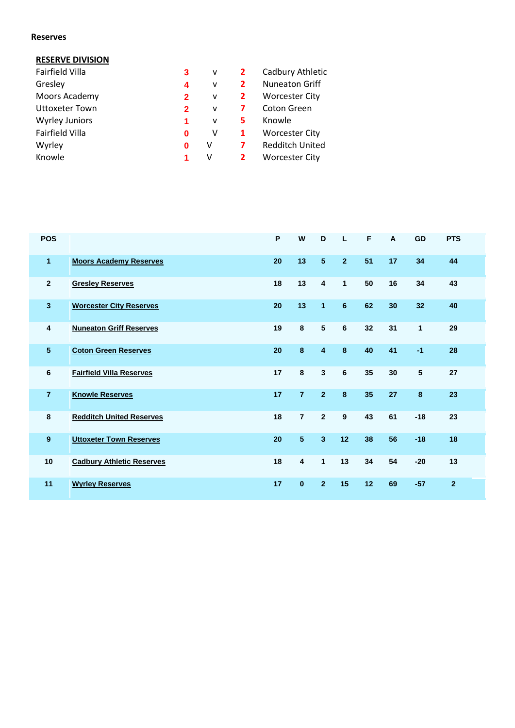#### **Reserves**

#### **RESERVE DIVISION**

| Fairfield Villa       | 3              | v | 2 | Cadbury Athletic       |
|-----------------------|----------------|---|---|------------------------|
| Gresley               | 4              | v | 2 | <b>Nuneaton Griff</b>  |
| Moors Academy         | $\overline{2}$ | ۷ | 2 | <b>Worcester City</b>  |
| <b>Uttoxeter Town</b> | $\mathbf{2}$   | v |   | Coton Green            |
| <b>Wyrley Juniors</b> | 1              | v | 5 | Knowle                 |
| Fairfield Villa       | 0              | v | 1 | <b>Worcester City</b>  |
| Wyrley                | 0              | v | 7 | <b>Redditch United</b> |
| Knowle                | 1              | ٧ |   | <b>Worcester City</b>  |

| <b>POS</b>       |                                  | P  | W                       | D                       | L               | F  | A  | GD           | <b>PTS</b>   |
|------------------|----------------------------------|----|-------------------------|-------------------------|-----------------|----|----|--------------|--------------|
| 1                | <b>Moors Academy Reserves</b>    | 20 | 13                      | $5\phantom{.0}$         | $\overline{2}$  | 51 | 17 | 34           | 44           |
| $\overline{2}$   | <b>Gresley Reserves</b>          | 18 | 13                      | $\overline{\mathbf{4}}$ | $\mathbf{1}$    | 50 | 16 | 34           | 43           |
| 3                | <b>Worcester City Reserves</b>   | 20 | 13                      | 1                       | 6               | 62 | 30 | 32           | 40           |
| 4                | <b>Nuneaton Griff Reserves</b>   | 19 | 8                       | 5                       | 6               | 32 | 31 | $\mathbf{1}$ | 29           |
| 5                | <b>Coton Green Reserves</b>      | 20 | $\bf{8}$                | $\overline{4}$          | 8               | 40 | 41 | $-1$         | 28           |
| 6                | <b>Fairfield Villa Reserves</b>  | 17 | $\bf{8}$                | $\mathbf{3}$            | $6\phantom{1}6$ | 35 | 30 | 5            | 27           |
| $\overline{7}$   | <b>Knowle Reserves</b>           | 17 | $\overline{7}$          | $\overline{2}$          | 8               | 35 | 27 | 8            | 23           |
| 8                | <b>Redditch United Reserves</b>  | 18 | $\overline{7}$          | $\overline{2}$          | 9               | 43 | 61 | $-18$        | 23           |
| $\boldsymbol{9}$ | <b>Uttoxeter Town Reserves</b>   | 20 | $\overline{\mathbf{5}}$ | $\overline{\mathbf{3}}$ | 12              | 38 | 56 | $-18$        | 18           |
| 10               | <b>Cadbury Athletic Reserves</b> | 18 | $\overline{\mathbf{4}}$ | $\mathbf{1}$            | 13              | 34 | 54 | $-20$        | 13           |
| 11               | <b>Wyrley Reserves</b>           | 17 | $\mathbf 0$             | $\overline{2}$          | 15              | 12 | 69 | $-57$        | $\mathbf{2}$ |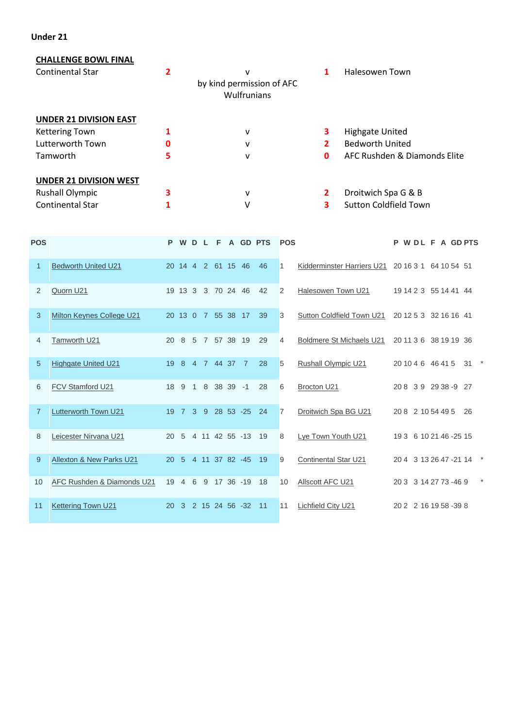#### **Under 21**

#### **CHALLENGE BOWL FINAL**

| <b>Continental Star</b>       |   | v<br>by kind permission of AFC<br>Wulfrunians |              | Halesowen Town               |  |  |  |
|-------------------------------|---|-----------------------------------------------|--------------|------------------------------|--|--|--|
| <b>UNDER 21 DIVISION EAST</b> |   |                                               |              |                              |  |  |  |
| <b>Kettering Town</b>         |   | v                                             | 3.           | <b>Highgate United</b>       |  |  |  |
| Lutterworth Town              | 0 | v                                             | 2            | <b>Bedworth United</b>       |  |  |  |
| Tamworth                      | 5 | v                                             | 0            | AFC Rushden & Diamonds Elite |  |  |  |
| <b>UNDER 21 DIVISION WEST</b> |   |                                               |              |                              |  |  |  |
| <b>Rushall Olympic</b>        |   | v                                             | $\mathbf{2}$ | Droitwich Spa G & B          |  |  |  |
| <b>Continental Star</b>       |   | V                                             | 3            | <b>Sutton Coldfield Town</b> |  |  |  |

| <b>POS</b>     |                            | P.        | W D                  |                | L. |                 | F A GD PTS         |       | <b>POS</b>     |                                 | P                 | WDL F A GDPTS          |    |  |
|----------------|----------------------------|-----------|----------------------|----------------|----|-----------------|--------------------|-------|----------------|---------------------------------|-------------------|------------------------|----|--|
| $\mathbf{1}$   | <b>Bedworth United U21</b> |           |                      |                |    |                 | 20 14 4 2 61 15 46 | 46    | 1              | Kidderminster Harriers U21      |                   | 20 16 3 1 64 10 54 51  |    |  |
| 2              | Quorn U21                  |           | 19 13 3              |                |    |                 | 3 70 24 46         | 42    | 2              | Halesowen Town U21              |                   | 19 14 2 3 55 14 41 44  |    |  |
| 3              | Milton Keynes College U21  |           |                      |                |    | 20 13 0 7 55 38 | 17                 | 39    | 3              | Sutton Coldfield Town U21       |                   | 20 12 5 3 32 16 16 41  |    |  |
| 4              | Tamworth U21               | 20        | 8                    | -5             |    |                 | 7 57 38 19         | 29    | $\overline{4}$ | <b>Boldmere St Michaels U21</b> |                   | 20 11 3 6 38 19 19 36  |    |  |
| 5              | <b>Highgate United U21</b> | 19        | 8                    |                |    | 4 7 44 37       | $\overline{7}$     | 28    | 5              | <b>Rushall Olympic U21</b>      | 20 10 4 6 46 41 5 |                        | 31 |  |
| 6              | FCV Stamford U21           | 18        | - 9                  | $\overline{1}$ |    | 8 38 39         | $-1$               | 28    | 6              | Brocton U21                     |                   | 208 39 29 38 -9 27     |    |  |
| $\overline{7}$ | Lutterworth Town U21       | 19        | $\overline{7}$       | $\mathbf{3}$   | -9 |                 | 28 53 -25          | 24    | $\overline{7}$ | Droitwich Spa BG U21            | 20 8 2 10 54 49 5 |                        | 26 |  |
| 8              | Leicester Nirvana U21      | <b>20</b> |                      |                |    |                 | 5 4 11 42 55 -13   | 19    | 8              | Lye Town Youth U21              |                   | 19 3 6 10 21 46 -25 15 |    |  |
| 9              | Allexton & New Parks U21   | 20        | -5                   |                |    |                 | 4 11 37 82 -45     | 19    | 9              | Continental Star U21            |                   | 20 4 3 13 26 47 -21 14 |    |  |
| 10             | AFC Rushden & Diamonds U21 |           | $19 \quad 4 \quad 6$ |                |    |                 | 9 17 36 -19        | 18    | 10             | Allscott AFC U21                |                   | 20 3 3 14 27 73 -46 9  |    |  |
| 11             | <b>Kettering Town U21</b>  | 20        | -3                   |                |    |                 | 2 15 24 56 -32     | $-11$ | 11             | <b>Lichfield City U21</b>       |                   | 20 2 2 16 19 58 -39 8  |    |  |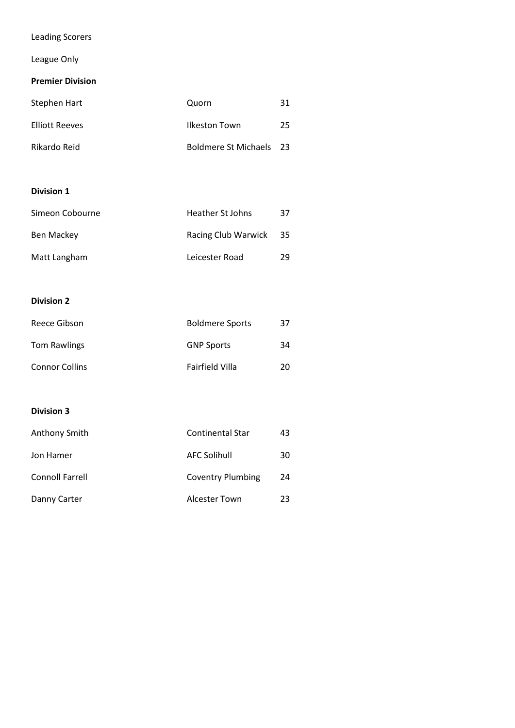# Leading Scorers

# League Only

## **Premier Division**

| Stephen Hart          | Quorn                          | 31 |
|-----------------------|--------------------------------|----|
| <b>Elliott Reeves</b> | Ilkeston Town                  | 25 |
| Rikardo Reid          | <b>Boldmere St Michaels</b> 23 |    |

#### **Division 1**

| Simeon Cobourne | Heather St Johns    | 37  |
|-----------------|---------------------|-----|
| Ben Mackey      | Racing Club Warwick | -35 |
| Matt Langham    | Leicester Road      | 29  |

# **Division 2**

| Reece Gibson          | <b>Boldmere Sports</b> | 37 |
|-----------------------|------------------------|----|
| <b>Tom Rawlings</b>   | <b>GNP Sports</b>      | 34 |
| <b>Connor Collins</b> | Fairfield Villa        | 20 |

| Anthony Smith          | <b>Continental Star</b> | 43 |
|------------------------|-------------------------|----|
| Jon Hamer              | <b>AFC Solihull</b>     | 30 |
| <b>Connoll Farrell</b> | Coventry Plumbing       | 24 |
| Danny Carter           | Alcester Town           | 23 |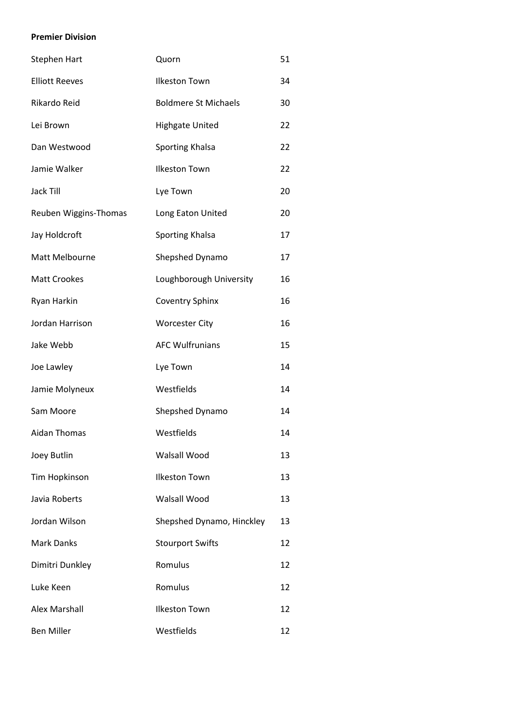#### **Premier Division**

| <b>Stephen Hart</b>   | Quorn                       | 51 |
|-----------------------|-----------------------------|----|
| <b>Elliott Reeves</b> | <b>Ilkeston Town</b>        | 34 |
| Rikardo Reid          | <b>Boldmere St Michaels</b> | 30 |
| Lei Brown             | <b>Highgate United</b>      | 22 |
| Dan Westwood          | Sporting Khalsa             | 22 |
| Jamie Walker          | <b>Ilkeston Town</b>        | 22 |
| <b>Jack Till</b>      | Lye Town                    | 20 |
| Reuben Wiggins-Thomas | Long Eaton United           | 20 |
| Jay Holdcroft         | Sporting Khalsa             | 17 |
| Matt Melbourne        | Shepshed Dynamo             | 17 |
| <b>Matt Crookes</b>   | Loughborough University     | 16 |
| Ryan Harkin           | <b>Coventry Sphinx</b>      | 16 |
| Jordan Harrison       | <b>Worcester City</b>       | 16 |
| Jake Webb             | <b>AFC Wulfrunians</b>      | 15 |
| Joe Lawley            | Lye Town                    | 14 |
| Jamie Molyneux        | Westfields                  | 14 |
| Sam Moore             | Shepshed Dynamo             | 14 |
| <b>Aidan Thomas</b>   | Westfields                  | 14 |
| Joey Butlin           | Walsall Wood                | 13 |
| Tim Hopkinson         | <b>Ilkeston Town</b>        | 13 |
| Javia Roberts         | <b>Walsall Wood</b>         | 13 |
| Jordan Wilson         | Shepshed Dynamo, Hinckley   | 13 |
| <b>Mark Danks</b>     | <b>Stourport Swifts</b>     | 12 |
| Dimitri Dunkley       | Romulus                     | 12 |
| Luke Keen             | Romulus                     | 12 |
| <b>Alex Marshall</b>  | <b>Ilkeston Town</b>        | 12 |
| <b>Ben Miller</b>     | Westfields                  | 12 |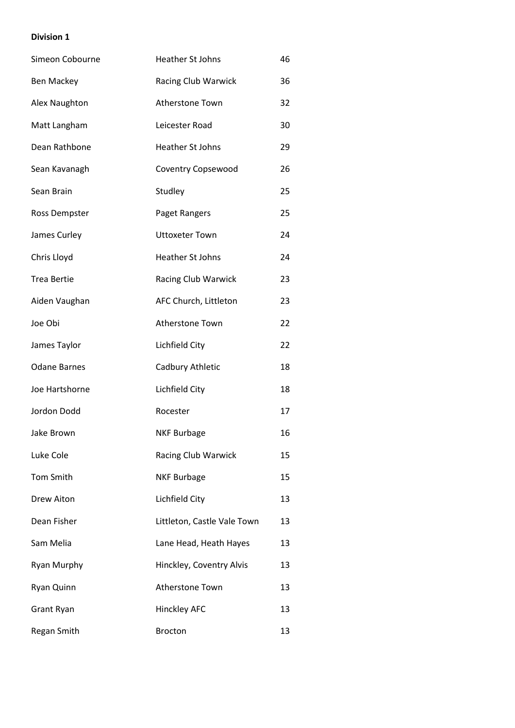| Simeon Cobourne      | <b>Heather St Johns</b>     | 46 |
|----------------------|-----------------------------|----|
| <b>Ben Mackey</b>    | Racing Club Warwick         | 36 |
| Alex Naughton        | Atherstone Town             | 32 |
| Matt Langham         | Leicester Road              | 30 |
| Dean Rathbone        | <b>Heather St Johns</b>     | 29 |
| Sean Kavanagh        | Coventry Copsewood          | 26 |
| Sean Brain           | Studley                     | 25 |
| <b>Ross Dempster</b> | Paget Rangers               | 25 |
| James Curley         | <b>Uttoxeter Town</b>       | 24 |
| Chris Lloyd          | <b>Heather St Johns</b>     | 24 |
| <b>Trea Bertie</b>   | Racing Club Warwick         | 23 |
| Aiden Vaughan        | AFC Church, Littleton       | 23 |
| Joe Obi              | Atherstone Town             | 22 |
| James Taylor         | Lichfield City              | 22 |
| <b>Odane Barnes</b>  | Cadbury Athletic            | 18 |
| Joe Hartshorne       | Lichfield City              | 18 |
| Jordon Dodd          | Rocester                    | 17 |
| Jake Brown           | <b>NKF Burbage</b>          | 16 |
| Luke Cole            | Racing Club Warwick         | 15 |
| Tom Smith            | <b>NKF Burbage</b>          | 15 |
| <b>Drew Aiton</b>    | Lichfield City              | 13 |
| Dean Fisher          | Littleton, Castle Vale Town | 13 |
| Sam Melia            | Lane Head, Heath Hayes      | 13 |
| <b>Ryan Murphy</b>   | Hinckley, Coventry Alvis    | 13 |
| Ryan Quinn           | <b>Atherstone Town</b>      | 13 |
| <b>Grant Ryan</b>    | <b>Hinckley AFC</b>         | 13 |
| Regan Smith          | <b>Brocton</b>              | 13 |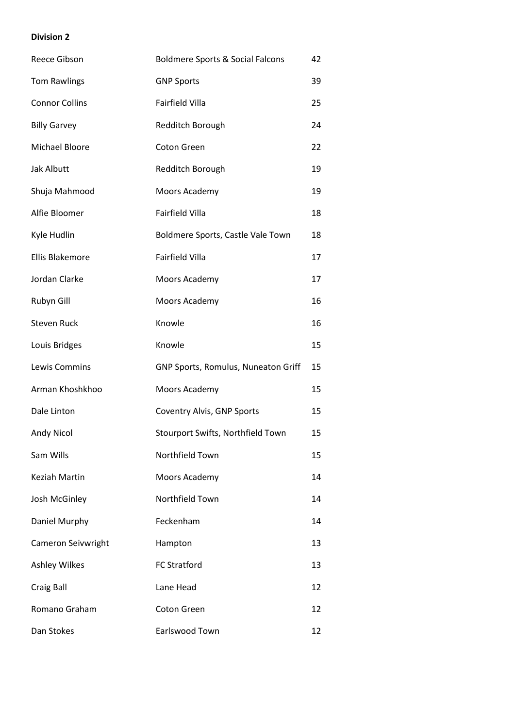| Reece Gibson           | <b>Boldmere Sports &amp; Social Falcons</b> | 42 |
|------------------------|---------------------------------------------|----|
| <b>Tom Rawlings</b>    | <b>GNP Sports</b>                           | 39 |
| <b>Connor Collins</b>  | Fairfield Villa                             | 25 |
| <b>Billy Garvey</b>    | Redditch Borough                            | 24 |
| Michael Bloore         | Coton Green                                 | 22 |
| <b>Jak Albutt</b>      | Redditch Borough                            | 19 |
| Shuja Mahmood          | Moors Academy                               | 19 |
| Alfie Bloomer          | Fairfield Villa                             | 18 |
| Kyle Hudlin            | Boldmere Sports, Castle Vale Town           | 18 |
| <b>Ellis Blakemore</b> | Fairfield Villa                             | 17 |
| Jordan Clarke          | Moors Academy                               | 17 |
| Rubyn Gill             | Moors Academy                               | 16 |
| <b>Steven Ruck</b>     | Knowle                                      | 16 |
| Louis Bridges          | Knowle                                      | 15 |
| Lewis Commins          | GNP Sports, Romulus, Nuneaton Griff         | 15 |
| Arman Khoshkhoo        | Moors Academy                               | 15 |
| Dale Linton            | Coventry Alvis, GNP Sports                  | 15 |
| <b>Andy Nicol</b>      | Stourport Swifts, Northfield Town           | 15 |
| Sam Wills              | Northfield Town                             | 15 |
| <b>Keziah Martin</b>   | Moors Academy                               | 14 |
| Josh McGinley          | Northfield Town                             | 14 |
| Daniel Murphy          | Feckenham                                   | 14 |
| Cameron Seivwright     | Hampton                                     | 13 |
| <b>Ashley Wilkes</b>   | <b>FC Stratford</b>                         | 13 |
| <b>Craig Ball</b>      | Lane Head                                   | 12 |
| Romano Graham          | <b>Coton Green</b>                          | 12 |
| Dan Stokes             | Earlswood Town                              | 12 |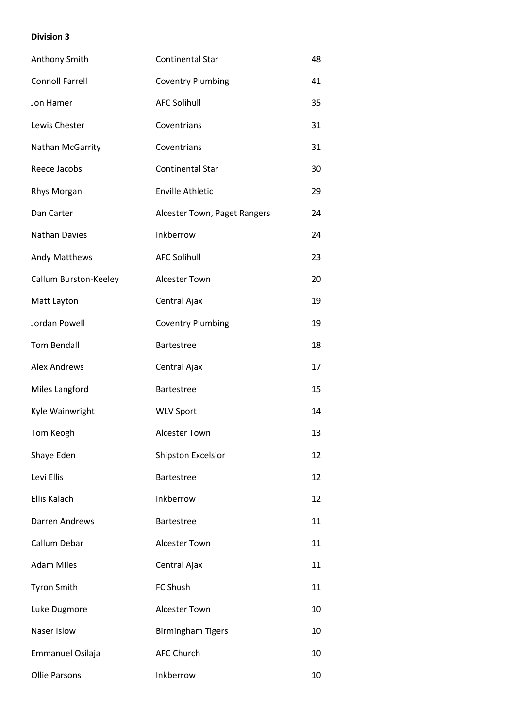| Anthony Smith          | <b>Continental Star</b>      | 48 |
|------------------------|------------------------------|----|
| <b>Connoll Farrell</b> | <b>Coventry Plumbing</b>     | 41 |
| Jon Hamer              | <b>AFC Solihull</b>          | 35 |
| Lewis Chester          | Coventrians                  | 31 |
| Nathan McGarrity       | Coventrians                  | 31 |
| Reece Jacobs           | <b>Continental Star</b>      | 30 |
| Rhys Morgan            | <b>Enville Athletic</b>      | 29 |
| Dan Carter             | Alcester Town, Paget Rangers | 24 |
| <b>Nathan Davies</b>   | Inkberrow                    | 24 |
| Andy Matthews          | <b>AFC Solihull</b>          | 23 |
| Callum Burston-Keeley  | Alcester Town                | 20 |
| Matt Layton            | Central Ajax                 | 19 |
| Jordan Powell          | <b>Coventry Plumbing</b>     | 19 |
| <b>Tom Bendall</b>     | <b>Bartestree</b>            | 18 |
| <b>Alex Andrews</b>    | Central Ajax                 | 17 |
| Miles Langford         | <b>Bartestree</b>            | 15 |
| Kyle Wainwright        | <b>WLV Sport</b>             | 14 |
| Tom Keogh              | <b>Alcester Town</b>         | 13 |
| Shaye Eden             | <b>Shipston Excelsior</b>    | 12 |
| Levi Ellis             | <b>Bartestree</b>            | 12 |
| Ellis Kalach           | Inkberrow                    | 12 |
| Darren Andrews         | <b>Bartestree</b>            | 11 |
| Callum Debar           | <b>Alcester Town</b>         | 11 |
| <b>Adam Miles</b>      | Central Ajax                 | 11 |
| <b>Tyron Smith</b>     | FC Shush                     | 11 |
| Luke Dugmore           | <b>Alcester Town</b>         | 10 |
| Naser Islow            | <b>Birmingham Tigers</b>     | 10 |
| Emmanuel Osilaja       | <b>AFC Church</b>            | 10 |
| <b>Ollie Parsons</b>   | Inkberrow                    | 10 |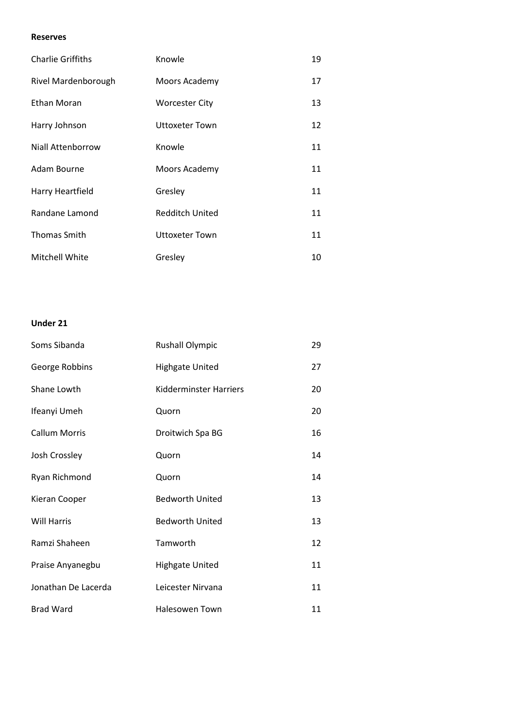#### **Reserves**

| <b>Charlie Griffiths</b> | Knowle                 | 19 |
|--------------------------|------------------------|----|
| Rivel Mardenborough      | Moors Academy          | 17 |
| <b>Ethan Moran</b>       | <b>Worcester City</b>  | 13 |
| Harry Johnson            | Uttoxeter Town         | 12 |
| Niall Attenborrow        | Knowle                 | 11 |
| Adam Bourne              | Moors Academy          | 11 |
| Harry Heartfield         | Gresley                | 11 |
| Randane Lamond           | <b>Redditch United</b> | 11 |
| <b>Thomas Smith</b>      | <b>Uttoxeter Town</b>  | 11 |
| Mitchell White           | Gresley                | 10 |

#### **Under 21**

| Soms Sibanda         | <b>Rushall Olympic</b>        | 29 |
|----------------------|-------------------------------|----|
| George Robbins       | <b>Highgate United</b>        | 27 |
| Shane Lowth          | <b>Kidderminster Harriers</b> | 20 |
| Ifeanyi Umeh         | Quorn                         | 20 |
| <b>Callum Morris</b> | Droitwich Spa BG              | 16 |
| Josh Crossley        | Quorn                         | 14 |
| Ryan Richmond        | Quorn                         | 14 |
| Kieran Cooper        | <b>Bedworth United</b>        | 13 |
| <b>Will Harris</b>   | <b>Bedworth United</b>        | 13 |
| Ramzi Shaheen        | Tamworth                      | 12 |
| Praise Anyanegbu     | <b>Highgate United</b>        | 11 |
| Jonathan De Lacerda  | Leicester Nirvana             | 11 |
| <b>Brad Ward</b>     | <b>Halesowen Town</b>         | 11 |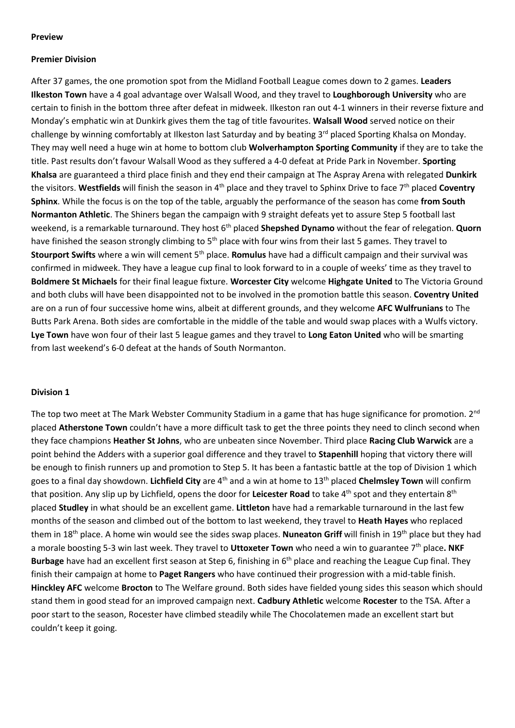#### **Preview**

#### **Premier Division**

After 37 games, the one promotion spot from the Midland Football League comes down to 2 games. **Leaders Ilkeston Town** have a 4 goal advantage over Walsall Wood, and they travel to **Loughborough University** who are certain to finish in the bottom three after defeat in midweek. Ilkeston ran out 4-1 winners in their reverse fixture and Monday's emphatic win at Dunkirk gives them the tag of title favourites. **Walsall Wood** served notice on their challenge by winning comfortably at Ilkeston last Saturday and by beating 3<sup>rd</sup> placed Sporting Khalsa on Monday. They may well need a huge win at home to bottom club **Wolverhampton Sporting Community** if they are to take the title. Past results don't favour Walsall Wood as they suffered a 4-0 defeat at Pride Park in November. **Sporting Khalsa** are guaranteed a third place finish and they end their campaign at The Aspray Arena with relegated **Dunkirk** the visitors. Westfields will finish the season in 4<sup>th</sup> place and they travel to Sphinx Drive to face 7<sup>th</sup> placed Coventry **Sphinx**. While the focus is on the top of the table, arguably the performance of the season has come **from South Normanton Athletic**. The Shiners began the campaign with 9 straight defeats yet to assure Step 5 football last weekend, is a remarkable turnaround. They host 6<sup>th</sup> placed **Shepshed Dynamo** without the fear of relegation. **Quorn** have finished the season strongly climbing to 5<sup>th</sup> place with four wins from their last 5 games. They travel to **Stourport Swifts** where a win will cement 5th place. **Romulus** have had a difficult campaign and their survival was confirmed in midweek. They have a league cup final to look forward to in a couple of weeks' time as they travel to **Boldmere St Michaels** for their final league fixture. **Worcester City** welcome **Highgate United** to The Victoria Ground and both clubs will have been disappointed not to be involved in the promotion battle this season. **Coventry United** are on a run of four successive home wins, albeit at different grounds, and they welcome **AFC Wulfrunians** to The Butts Park Arena. Both sides are comfortable in the middle of the table and would swap places with a Wulfs victory. **Lye Town** have won four of their last 5 league games and they travel to **Long Eaton United** who will be smarting from last weekend's 6-0 defeat at the hands of South Normanton.

#### **Division 1**

The top two meet at The Mark Webster Community Stadium in a game that has huge significance for promotion. 2<sup>nd</sup> placed **Atherstone Town** couldn't have a more difficult task to get the three points they need to clinch second when they face champions **Heather St Johns**, who are unbeaten since November. Third place **Racing Club Warwick** are a point behind the Adders with a superior goal difference and they travel to **Stapenhill** hoping that victory there will be enough to finish runners up and promotion to Step 5. It has been a fantastic battle at the top of Division 1 which goes to a final day showdown. **Lichfield City** are 4th and a win at home to 13th placed **Chelmsley Town** will confirm that position. Any slip up by Lichfield, opens the door for Leicester Road to take 4<sup>th</sup> spot and they entertain 8<sup>th</sup> placed **Studley** in what should be an excellent game. **Littleton** have had a remarkable turnaround in the last few months of the season and climbed out of the bottom to last weekend, they travel to **Heath Hayes** who replaced them in 18th place. A home win would see the sides swap places. **Nuneaton Griff** will finish in 19th place but they had a morale boosting 5-3 win last week. They travel to **Uttoxeter Town** who need a win to guarantee 7th place**. NKF**  Burbage have had an excellent first season at Step 6, finishing in 6<sup>th</sup> place and reaching the League Cup final. They finish their campaign at home to **Paget Rangers** who have continued their progression with a mid-table finish. **Hinckley AFC** welcome **Brocton** to The Welfare ground. Both sides have fielded young sides this season which should stand them in good stead for an improved campaign next. **Cadbury Athletic** welcome **Rocester** to the TSA. After a poor start to the season, Rocester have climbed steadily while The Chocolatemen made an excellent start but couldn't keep it going.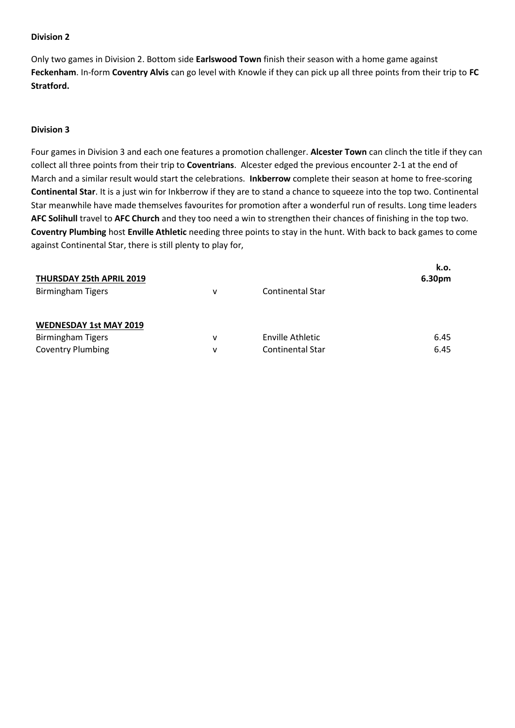Only two games in Division 2. Bottom side **Earlswood Town** finish their season with a home game against **Feckenham**. In-form **Coventry Alvis** can go level with Knowle if they can pick up all three points from their trip to **FC Stratford.**

#### **Division 3**

Four games in Division 3 and each one features a promotion challenger. **Alcester Town** can clinch the title if they can collect all three points from their trip to **Coventrians**. Alcester edged the previous encounter 2-1 at the end of March and a similar result would start the celebrations. **Inkberrow** complete their season at home to free-scoring **Continental Star**. It is a just win for Inkberrow if they are to stand a chance to squeeze into the top two. Continental Star meanwhile have made themselves favourites for promotion after a wonderful run of results. Long time leaders **AFC Solihull** travel to **AFC Church** and they too need a win to strengthen their chances of finishing in the top two. **Coventry Plumbing** host **Enville Athletic** needing three points to stay in the hunt. With back to back games to come against Continental Star, there is still plenty to play for,

| THURSDAY 25th APRIL 2019      |   |                         | k.o.<br>6.30pm |
|-------------------------------|---|-------------------------|----------------|
| <b>Birmingham Tigers</b>      | v | <b>Continental Star</b> |                |
| <b>WEDNESDAY 1st MAY 2019</b> |   |                         |                |
| <b>Birmingham Tigers</b>      | v | Enville Athletic        | 6.45           |
| <b>Coventry Plumbing</b>      | v | <b>Continental Star</b> | 6.45           |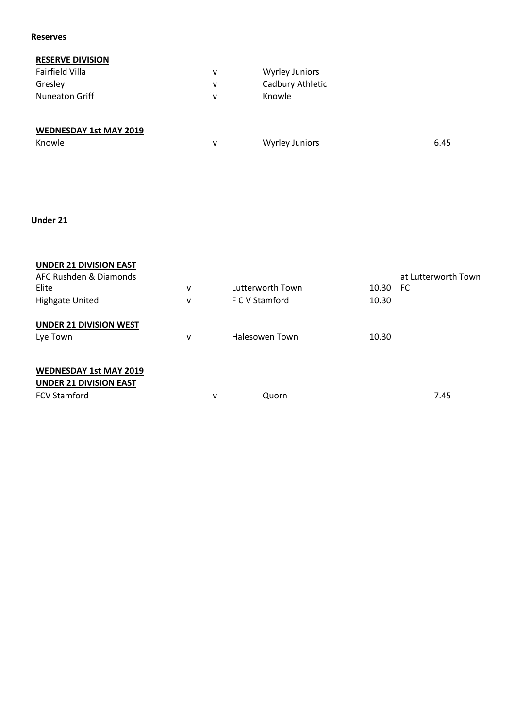#### **Reserves**

# **RESERVE DIVISION**

| Fairfield Villa       | ۷ | <b>Wyrley Juniors</b> |
|-----------------------|---|-----------------------|
| Gresley               | ۷ | Cadbury Athletic      |
| <b>Nuneaton Griff</b> | v | Knowle                |
|                       |   |                       |
|                       |   |                       |

# **WEDNESDAY 1st MAY 2019**

| Knowle | <b>Wyrley Juniors</b> | 6.45 |
|--------|-----------------------|------|
|        |                       |      |

## **Under 21**

| <b>UNDER 21 DIVISION EAST</b><br>AFC Rushden & Diamonds<br>Elite<br><b>Highgate United</b> | v<br>v       |   | Lutterworth Town<br>F C V Stamford | 10.30 FC<br>10.30 | at Lutterworth Town |
|--------------------------------------------------------------------------------------------|--------------|---|------------------------------------|-------------------|---------------------|
| <b>UNDER 21 DIVISION WEST</b><br>Lye Town                                                  | $\mathsf{v}$ |   | Halesowen Town                     | 10.30             |                     |
| <b>WEDNESDAY 1st MAY 2019</b><br><b>UNDER 21 DIVISION EAST</b><br><b>FCV Stamford</b>      |              | ٧ | Quorn                              |                   | 7.45                |